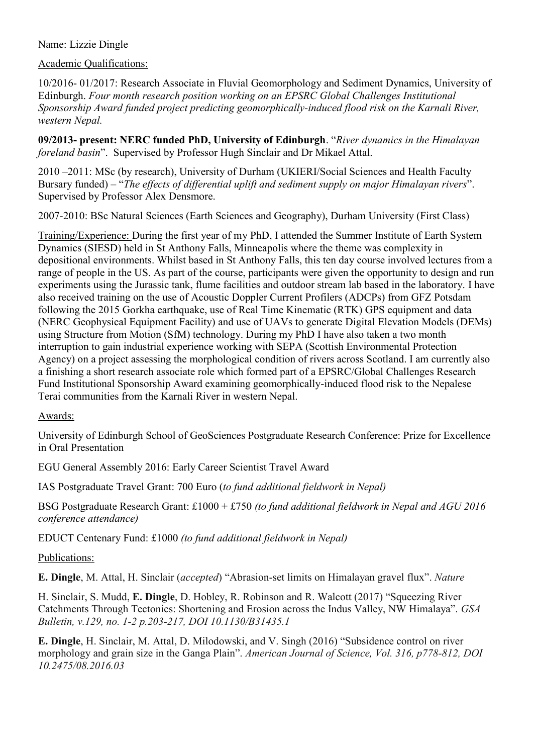## Name: Lizzie Dingle

## Academic Qualifications:

10/2016- 01/2017: Research Associate in Fluvial Geomorphology and Sediment Dynamics, University of Edinburgh. *Four month research position working on an EPSRC Global Challenges Institutional Sponsorship Award funded project predicting geomorphically-induced flood risk on the Karnali River, western Nepal.* 

**09/2013- present: NERC funded PhD, University of Edinburgh**. "*River dynamics in the Himalayan foreland basin*". Supervised by Professor Hugh Sinclair and Dr Mikael Attal.

2010 –2011: MSc (by research), University of Durham (UKIERI/Social Sciences and Health Faculty Bursary funded) – "*The effects of differential uplift and sediment supply on major Himalayan rivers*". Supervised by Professor Alex Densmore.

2007-2010: BSc Natural Sciences (Earth Sciences and Geography), Durham University (First Class)

Training/Experience: During the first year of my PhD, I attended the Summer Institute of Earth System Dynamics (SIESD) held in St Anthony Falls, Minneapolis where the theme was complexity in depositional environments. Whilst based in St Anthony Falls, this ten day course involved lectures from a range of people in the US. As part of the course, participants were given the opportunity to design and run experiments using the Jurassic tank, flume facilities and outdoor stream lab based in the laboratory. I have also received training on the use of Acoustic Doppler Current Profilers (ADCPs) from GFZ Potsdam following the 2015 Gorkha earthquake, use of Real Time Kinematic (RTK) GPS equipment and data (NERC Geophysical Equipment Facility) and use of UAVs to generate Digital Elevation Models (DEMs) using Structure from Motion (SfM) technology. During my PhD I have also taken a two month interruption to gain industrial experience working with SEPA (Scottish Environmental Protection Agency) on a project assessing the morphological condition of rivers across Scotland. I am currently also a finishing a short research associate role which formed part of a EPSRC/Global Challenges Research Fund Institutional Sponsorship Award examining geomorphically-induced flood risk to the Nepalese Terai communities from the Karnali River in western Nepal.

## Awards:

University of Edinburgh School of GeoSciences Postgraduate Research Conference: Prize for Excellence in Oral Presentation

EGU General Assembly 2016: Early Career Scientist Travel Award

IAS Postgraduate Travel Grant: 700 Euro (*to fund additional fieldwork in Nepal)*

BSG Postgraduate Research Grant: £1000 + £750 *(to fund additional fieldwork in Nepal and AGU 2016 conference attendance)*

EDUCT Centenary Fund: £1000 *(to fund additional fieldwork in Nepal)*

# Publications:

**E. Dingle**, M. Attal, H. Sinclair (*accepted*) "Abrasion-set limits on Himalayan gravel flux". *Nature*

H. Sinclair, S. Mudd, **E. Dingle**, D. Hobley, R. Robinson and R. Walcott (2017) "Squeezing River Catchments Through Tectonics: Shortening and Erosion across the Indus Valley, NW Himalaya". *GSA Bulletin, v.129, no. 1-2 p.203-217, DOI 10.1130/B31435.1*

**E. Dingle**, H. Sinclair, M. Attal, D. Milodowski, and V. Singh (2016) "Subsidence control on river morphology and grain size in the Ganga Plain". *American Journal of Science, Vol. 316, p778-812, DOI 10.2475/08.2016.03*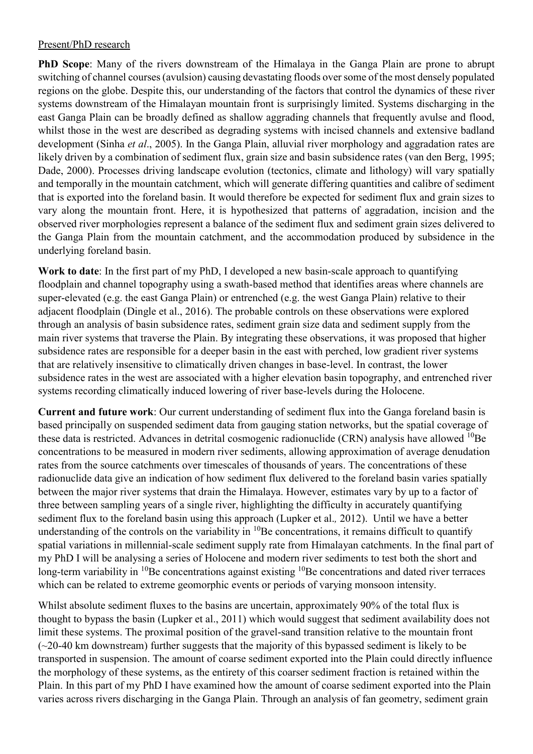## Present/PhD research

**PhD Scope**: Many of the rivers downstream of the Himalaya in the Ganga Plain are prone to abrupt switching of channel courses (avulsion) causing devastating floods over some of the most densely populated regions on the globe. Despite this, our understanding of the factors that control the dynamics of these river systems downstream of the Himalayan mountain front is surprisingly limited. Systems discharging in the east Ganga Plain can be broadly defined as shallow aggrading channels that frequently avulse and flood, whilst those in the west are described as degrading systems with incised channels and extensive badland development (Sinha *et al*., 2005). In the Ganga Plain, alluvial river morphology and aggradation rates are likely driven by a combination of sediment flux, grain size and basin subsidence rates (van den Berg, 1995; Dade, 2000). Processes driving landscape evolution (tectonics, climate and lithology) will vary spatially and temporally in the mountain catchment, which will generate differing quantities and calibre of sediment that is exported into the foreland basin. It would therefore be expected for sediment flux and grain sizes to vary along the mountain front. Here, it is hypothesized that patterns of aggradation, incision and the observed river morphologies represent a balance of the sediment flux and sediment grain sizes delivered to the Ganga Plain from the mountain catchment, and the accommodation produced by subsidence in the underlying foreland basin.

**Work to date**: In the first part of my PhD, I developed a new basin-scale approach to quantifying floodplain and channel topography using a swath-based method that identifies areas where channels are super-elevated (e.g. the east Ganga Plain) or entrenched (e.g. the west Ganga Plain) relative to their adjacent floodplain (Dingle et al., 2016). The probable controls on these observations were explored through an analysis of basin subsidence rates, sediment grain size data and sediment supply from the main river systems that traverse the Plain. By integrating these observations, it was proposed that higher subsidence rates are responsible for a deeper basin in the east with perched, low gradient river systems that are relatively insensitive to climatically driven changes in base-level. In contrast, the lower subsidence rates in the west are associated with a higher elevation basin topography, and entrenched river systems recording climatically induced lowering of river base-levels during the Holocene.

**Current and future work**: Our current understanding of sediment flux into the Ganga foreland basin is based principally on suspended sediment data from gauging station networks, but the spatial coverage of these data is restricted. Advances in detrital cosmogenic radionuclide  $(CRN)$  analysis have allowed  ${}^{10}Be$ concentrations to be measured in modern river sediments, allowing approximation of average denudation rates from the source catchments over timescales of thousands of years. The concentrations of these radionuclide data give an indication of how sediment flux delivered to the foreland basin varies spatially between the major river systems that drain the Himalaya. However, estimates vary by up to a factor of three between sampling years of a single river, highlighting the difficulty in accurately quantifying sediment flux to the foreland basin using this approach (Lupker et al.*,* 2012). Until we have a better understanding of the controls on the variability in  ${}^{10}$ Be concentrations, it remains difficult to quantify spatial variations in millennial-scale sediment supply rate from Himalayan catchments. In the final part of my PhD I will be analysing a series of Holocene and modern river sediments to test both the short and long-term variability in <sup>10</sup>Be concentrations against existing <sup>10</sup>Be concentrations and dated river terraces which can be related to extreme geomorphic events or periods of varying monsoon intensity.

Whilst absolute sediment fluxes to the basins are uncertain, approximately 90% of the total flux is thought to bypass the basin (Lupker et al., 2011) which would suggest that sediment availability does not limit these systems. The proximal position of the gravel-sand transition relative to the mountain front  $(-20-40 \text{ km}$  downstream) further suggests that the majority of this bypassed sediment is likely to be transported in suspension. The amount of coarse sediment exported into the Plain could directly influence the morphology of these systems, as the entirety of this coarser sediment fraction is retained within the Plain. In this part of my PhD I have examined how the amount of coarse sediment exported into the Plain varies across rivers discharging in the Ganga Plain. Through an analysis of fan geometry, sediment grain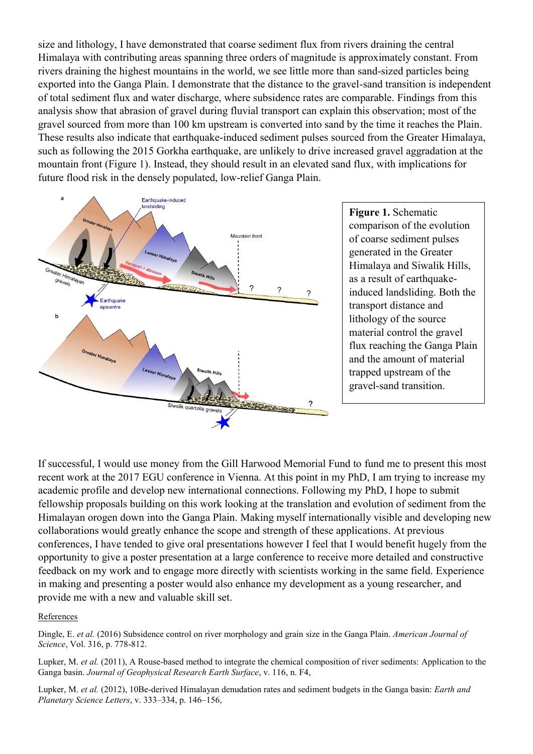size and lithology, I have demonstrated that coarse sediment flux from rivers draining the central Himalaya with contributing areas spanning three orders of magnitude is approximately constant. From rivers draining the highest mountains in the world, we see little more than sand-sized particles being exported into the Ganga Plain. I demonstrate that the distance to the gravel-sand transition is independent of total sediment flux and water discharge, where subsidence rates are comparable. Findings from this analysis show that abrasion of gravel during fluvial transport can explain this observation; most of the gravel sourced from more than 100 km upstream is converted into sand by the time it reaches the Plain. These results also indicate that earthquake-induced sediment pulses sourced from the Greater Himalaya, such as following the 2015 Gorkha earthquake, are unlikely to drive increased gravel aggradation at the mountain front (Figure 1). Instead, they should result in an elevated sand flux, with implications for future flood risk in the densely populated, low-relief Ganga Plain.



**Figure 1.** Schematic comparison of the evolution of coarse sediment pulses generated in the Greater Himalaya and Siwalik Hills, as a result of earthquakeinduced landsliding. Both the transport distance and lithology of the source material control the gravel flux reaching the Ganga Plain and the amount of material trapped upstream of the gravel-sand transition.

If successful, I would use money from the Gill Harwood Memorial Fund to fund me to present this most recent work at the 2017 EGU conference in Vienna. At this point in my PhD, I am trying to increase my academic profile and develop new international connections. Following my PhD, I hope to submit fellowship proposals building on this work looking at the translation and evolution of sediment from the Himalayan orogen down into the Ganga Plain. Making myself internationally visible and developing new collaborations would greatly enhance the scope and strength of these applications. At previous conferences, I have tended to give oral presentations however I feel that I would benefit hugely from the opportunity to give a poster presentation at a large conference to receive more detailed and constructive feedback on my work and to engage more directly with scientists working in the same field. Experience in making and presenting a poster would also enhance my development as a young researcher, and provide me with a new and valuable skill set.

#### References

Dingle, E. *et al.* (2016) Subsidence control on river morphology and grain size in the Ganga Plain. *American Journal of Science*, Vol. 316, p. 778-812.

Lupker, M. *et al.* (2011), A Rouse-based method to integrate the chemical composition of river sediments: Application to the Ganga basin. *Journal of Geophysical Research Earth Surface*, v. 116, n. F4,

Lupker, M. *et al.* (2012), 10Be-derived Himalayan denudation rates and sediment budgets in the Ganga basin: *Earth and Planetary Science Letters*, v. 333–334, p. 146–156,